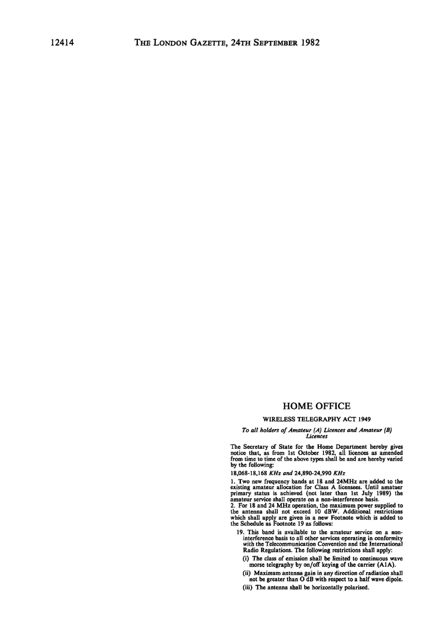## HOME OFFICE

## WIRELESS TELEGRAPHY ACT 1949

## *To all holders of Amateur (A) Licences and Amateur (B) Licences*

The Secretary of State for the Home Department hereby gives notice that, as from 1st October 1982, all licences as amended from time to time of the above types shall be and are hereby varied by the following:

18,068-18,168 *KHz and* 24,890-24,990 *KHz* 

I. Two new frequency bands at 18 and 24MHz are added to the existing amateur allocation for Class A licensees. Until amatuer primary status is achieved (not later than 1st July 1989) the amateur service shall operate on a non-interference basis.

2. For 18 and 24 MHz operation, the maximum power supplied to the antenna shall not exceed 10 dBW. Additional restrictions which shall apply are given in a new Footnote which is added to the Schedule as Footnote 19 as follows:

- 19. This band is available to the amateur service on a non- interference basis to all other services operating in oonformity with the Telecommunication Convention and the International Radio Regulations. The following restrictions shall apply:
	- (i) The class of emission shall be limited to continuous wave morse telegraphy by on/off keying of the carrier (Al A).
- (ii) Maximum antenna gain in any direction of radiation shall not be greater than 0 dB with respect to a half wave dipole.
- (iii) The antenna shall be horizontally polarised.